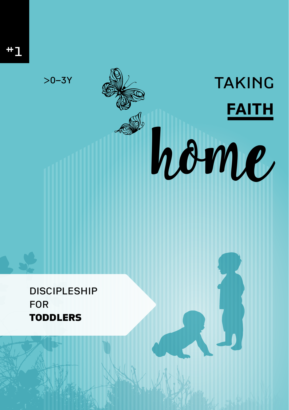$>0 - 3Y$ 

**TAKING** 

home

**FAITH** 

# **DISCIPLESHIP FOR TODDLERS**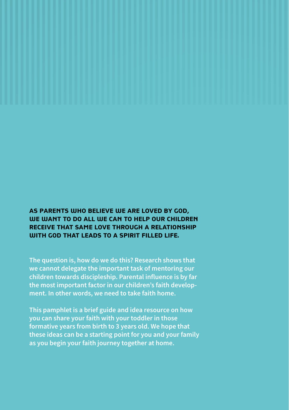### **AS PARENTS WHO BELIEVE WE ARE LOVED BY GOD, WE WANT TO DO ALL WE CAN TO HELP OUR CHILDREN RECEIVE THAT SAME LOVE THROUGH A RELATIONSHIP WITH GOD THAT LEADS TO A SPIRIT FILLED LIFE.**

**The question is, how do we do this? Research shows that we cannot delegate the important task of mentoring our children towards discipleship. Parental influence is by far the most important factor in our children's faith development. In other words, we need to take faith home.** 

**This pamphlet is a brief guide and idea resource on how you can share your faith with your toddler in those formative years from birth to 3 years old. We hope that these ideas can be a starting point for you and your family as you begin your faith journey together at home.**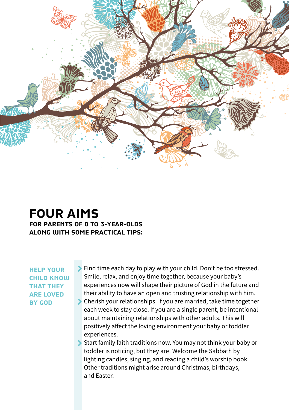

## **FOUR AIMS FOR PARENTS OF 0 TO 3-YEAR-OLDS ALONG WITH SOME PRACTICAL TIPS:**

**HELP YOUR CHILD KNOW THAT THEY ARE LOVED BY GOD**

Find time each day to play with your child. Don't be too stressed. Smile, relax, and enjoy time together, because your baby's experiences now will shape their picture of God in the future and their ability to have an open and trusting relationship with him.

- Cherish your relationships. If you are married, take time together each week to stay close. If you are a single parent, be intentional about maintaining relationships with other adults. This will positively affect the loving environment your baby or toddler experiences.
- Start family faith traditions now. You may not think your baby or toddler is noticing, but they are! Welcome the Sabbath by lighting candles, singing, and reading a child's worship book. Other traditions might arise around Christmas, birthdays, and Easter.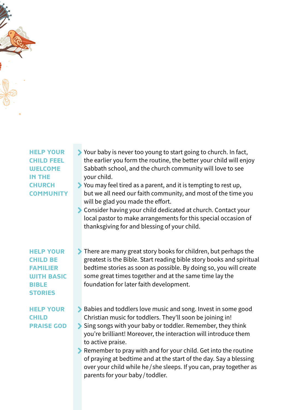**HELP YOUR CHILD FEEL WELCOME IN THE CHURCH COMMUNITY**

- Your baby is never too young to start going to church. In fact, the earlier you form the routine, the better your child will enjoy Sabbath school, and the church community will love to see your child.
- You may feel tired as a parent, and it is tempting to rest up, but we all need our faith community, and most of the time you will be glad you made the effort.
- Consider having your child dedicated at church. Contact your local pastor to make arrangements for this special occasion of thanksgiving for and blessing of your child.

**HELP YOUR CHILD BE FAMILIER WITH BASIC BIBLE STORIES**

#### **HELP YOUR CHILD PRAISE GOD**

- There are many great story books for children, but perhaps the greatest is the Bible. Start reading bible story books and spiritual bedtime stories as soon as possible. By doing so, you will create some great times together and at the same time lay the foundation for later faith development.
- **Babies and toddlers love music and song. Invest in some good** Christian music for toddlers. They'll soon be joining in!
- Sing songs with your baby or toddler. Remember, they think you're brilliant! Moreover, the interaction will introduce them to active praise.
- Remember to pray with and for your child. Get into the routine of praying at bedtime and at the start of the day. Say a blessing over your child while he / she sleeps. If you can, pray together as parents for your baby / toddler.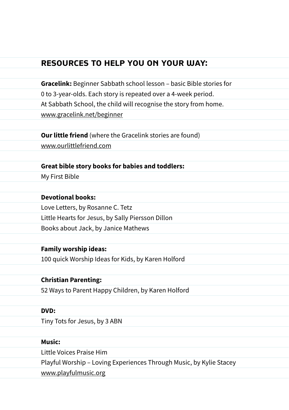### **RESOURCES TO HELP YOU ON YOUR WAY:**

**Gracelink:** Beginner Sabbath school lesson – basic Bible stories for 0 to 3-year-olds. Each story is repeated over a 4-week period. At Sabbath School, the child will recognise the story from home. www.gracelink.net/beginner

**Our little friend** (where the Gracelink stories are found) www.ourlittlefriend.com

#### **Great bible story books for babies and toddlers:**

My First Bible

#### **Devotional books:**

Love Letters, by Rosanne C. Tetz Little Hearts for Jesus, by Sally Piersson Dillon Books about Jack, by Janice Mathews

#### **Family worship ideas:**

100 quick Worship Ideas for Kids, by Karen Holford

#### **Christian Parenting:**

52 Ways to Parent Happy Children, by Karen Holford

#### **DVD:**

Tiny Tots for Jesus, by 3 ABN

#### **Music:**

Little Voices Praise Him Playful Worship – Loving Experiences Through Music, by Kylie Stacey www.playfulmusic.org